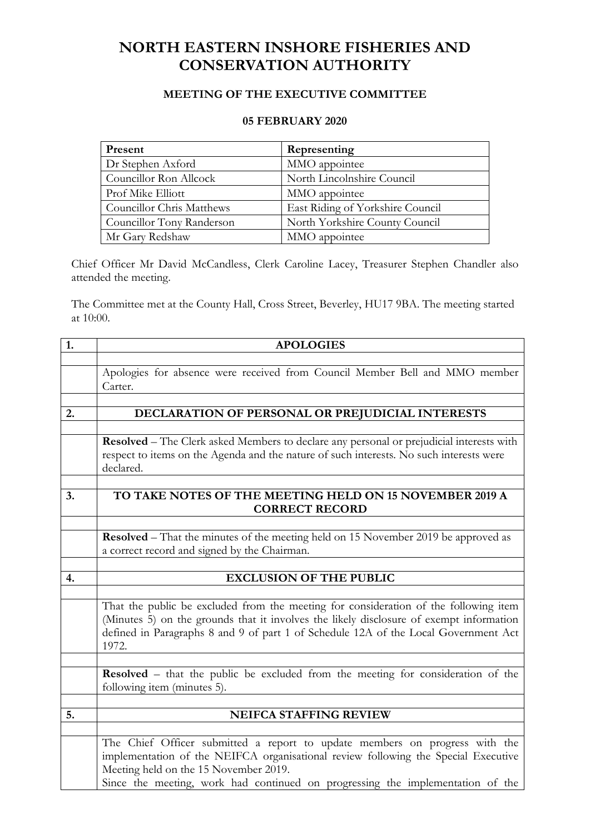## **NORTH EASTERN INSHORE FISHERIES AND CONSERVATION AUTHORITY**

## **MEETING OF THE EXECUTIVE COMMITTEE**

## **05 FEBRUARY 2020**

| Present                   | Representing                     |
|---------------------------|----------------------------------|
| Dr Stephen Axford         | MMO appointee                    |
| Councillor Ron Allcock    | North Lincolnshire Council       |
| Prof Mike Elliott         | MMO appointee                    |
| Councillor Chris Matthews | East Riding of Yorkshire Council |
| Councillor Tony Randerson | North Yorkshire County Council   |
| Mr Gary Redshaw           | MMO appointee                    |

Chief Officer Mr David McCandless, Clerk Caroline Lacey, Treasurer Stephen Chandler also attended the meeting.

The Committee met at the County Hall, Cross Street, Beverley, HU17 9BA. The meeting started at 10:00.

| 1. | <b>APOLOGIES</b>                                                                                                                                                                                                                                                                |
|----|---------------------------------------------------------------------------------------------------------------------------------------------------------------------------------------------------------------------------------------------------------------------------------|
|    |                                                                                                                                                                                                                                                                                 |
|    | Apologies for absence were received from Council Member Bell and MMO member<br>Carter.                                                                                                                                                                                          |
|    |                                                                                                                                                                                                                                                                                 |
| 2. | DECLARATION OF PERSONAL OR PREJUDICIAL INTERESTS                                                                                                                                                                                                                                |
|    |                                                                                                                                                                                                                                                                                 |
|    | Resolved - The Clerk asked Members to declare any personal or prejudicial interests with                                                                                                                                                                                        |
|    | respect to items on the Agenda and the nature of such interests. No such interests were<br>declared.                                                                                                                                                                            |
|    |                                                                                                                                                                                                                                                                                 |
| 3. | TO TAKE NOTES OF THE MEETING HELD ON 15 NOVEMBER 2019 A                                                                                                                                                                                                                         |
|    | <b>CORRECT RECORD</b>                                                                                                                                                                                                                                                           |
|    | Resolved - That the minutes of the meeting held on 15 November 2019 be approved as                                                                                                                                                                                              |
|    | a correct record and signed by the Chairman.                                                                                                                                                                                                                                    |
|    |                                                                                                                                                                                                                                                                                 |
| 4. | <b>EXCLUSION OF THE PUBLIC</b>                                                                                                                                                                                                                                                  |
|    |                                                                                                                                                                                                                                                                                 |
|    | That the public be excluded from the meeting for consideration of the following item<br>(Minutes 5) on the grounds that it involves the likely disclosure of exempt information<br>defined in Paragraphs 8 and 9 of part 1 of Schedule 12A of the Local Government Act<br>1972. |
|    |                                                                                                                                                                                                                                                                                 |
|    | Resolved - that the public be excluded from the meeting for consideration of the<br>following item (minutes 5).                                                                                                                                                                 |
|    |                                                                                                                                                                                                                                                                                 |
| 5. | <b>NEIFCA STAFFING REVIEW</b>                                                                                                                                                                                                                                                   |
|    |                                                                                                                                                                                                                                                                                 |
|    | The Chief Officer submitted a report to update members on progress with the<br>implementation of the NEIFCA organisational review following the Special Executive<br>Meeting held on the 15 November 2019.                                                                      |
|    | Since the meeting, work had continued on progressing the implementation of the                                                                                                                                                                                                  |